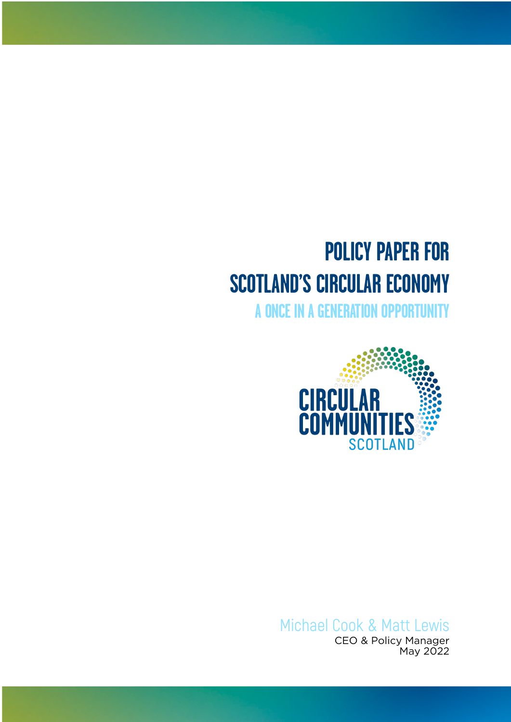# **POLICY PAPER FOR SCOTLAND'S CIRCULAR ECONOMY**

**A ONCE IN A GENERATION OPPORTUNITY**



Michael Cook & Matt Lewis CEO & Policy Manager May 2022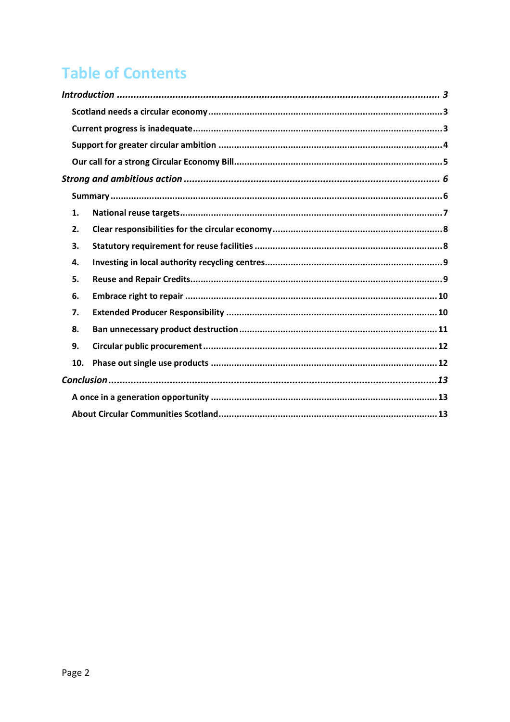# **Table of Contents**

| 1.  |  |
|-----|--|
| 2.  |  |
| 3.  |  |
| 4.  |  |
| 5.  |  |
| 6.  |  |
| 7.  |  |
| 8.  |  |
| 9.  |  |
| 10. |  |
|     |  |
|     |  |
|     |  |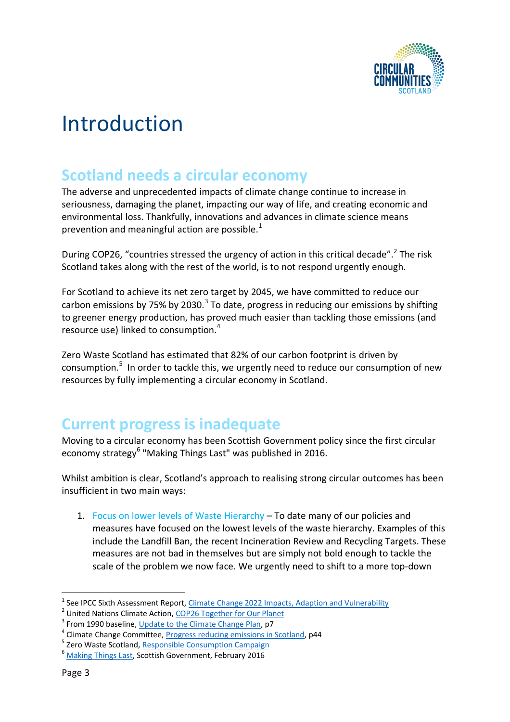

# <span id="page-2-0"></span>Introduction

#### <span id="page-2-1"></span>**Scotland needs a circular economy**

The adverse and unprecedented impacts of climate change continue to increase in seriousness, damaging the planet, impacting our way of life, and creating economic and environmental loss. Thankfully, innovations and advances in climate science means prevention and meaningful action are possible.<sup>1</sup>

During COP26, "countries stressed the urgency of action in this critical decade".<sup>2</sup> The risk Scotland takes along with the rest of the world, is to not respond urgently enough.

For Scotland to achieve its net zero target by 2045, we have committed to reduce our carbon emissions by 75% by 2030.<sup>3</sup> To date, progress in reducing our emissions by shifting to greener energy production, has proved much easier than tackling those emissions (and resource use) linked to consumption.<sup>4</sup>

Zero Waste Scotland has estimated that 82% of our carbon footprint is driven by consumption.<sup>5</sup> In order to tackle this, we urgently need to reduce our consumption of new resources by fully implementing a circular economy in Scotland.

### <span id="page-2-2"></span>**Current progress is inadequate**

Moving to a circular economy has been Scottish Government policy since the first circular economy strategy<sup>6</sup> "Making Things Last" was published in 2016.

Whilst ambition is clear, Scotland's approach to realising strong circular outcomes has been insufficient in two main ways:

1. Focus on lower levels of Waste Hierarchy – To date many of our policies and measures have focused on the lowest levels of the waste hierarchy. Examples of this include the Landfill Ban, the recent Incineration Review and Recycling Targets. These measures are not bad in themselves but are simply not bold enough to tackle the scale of the problem we now face. We urgently need to shift to a more top-down

<sup>1</sup> See IPCC Sixth Assessment Report, [Climate Change 2022 Impacts, Adaption and Vulnerability](https://www.ipcc.ch/report/ar6/wg2/)

<sup>&</sup>lt;sup>2</sup> United Nations Climate Action, [COP26 Together for](https://www.un.org/en/climatechange/cop26) Our Planet

<sup>&</sup>lt;sup>3</sup> From 1990 baseline, [Update to the Climate Change Plan,](https://www.gov.scot/binaries/content/documents/govscot/publications/strategy-plan/2020/12/securing-green-recovery-path-net-zero-update-climate-change-plan-20182032/documents/update-climate-change-plan-2018-2032-securing-green-recovery-path-net-zero/update-climate-change-plan-2018-2032-securing-green-recovery-path-net-zero/govscot%3Adocument/update-climate-change-plan-2018-2032-securing-green-recovery-path-net-zero.pdf) p7

<sup>&</sup>lt;sup>4</sup> Climate Change Committee[, Progress reducing emissions in Scotland,](https://www.theccc.org.uk/publication/progress-reducing-emissions-in-scotland-2021-report-to-parliament/) p44

<sup>&</sup>lt;sup>5</sup> Zero Waste Scotland, [Responsible Consumption Campaign](https://www.zerowastescotland.org.uk/content/everything-we-buy-has-carbon-cost)

<sup>6</sup> [Making Things Last,](https://www.gov.scot/publications/making-things-last-circular-economy-strategy-scotland/) Scottish Government, February 2016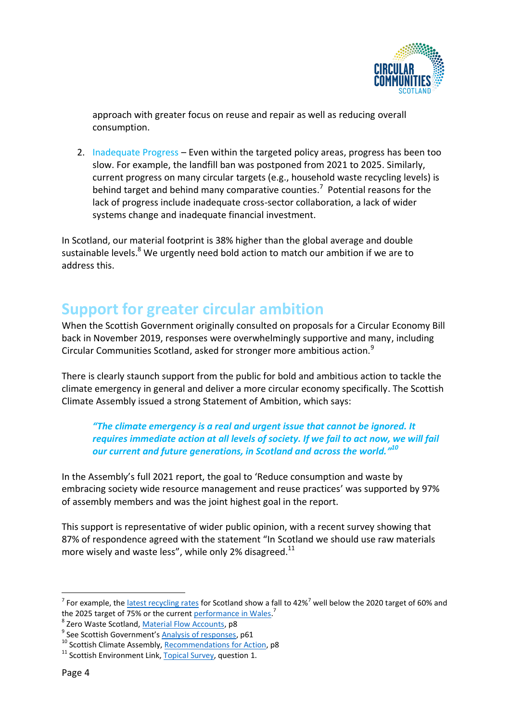

approach with greater focus on reuse and repair as well as reducing overall consumption.

2. Inadequate Progress – Even within the targeted policy areas, progress has been too slow. For example, the landfill ban was postponed from 2021 to 2025. Similarly, current progress on many circular targets (e.g., household waste recycling levels) is behind target and behind many comparative counties.<sup>7</sup> Potential reasons for the lack of progress include inadequate cross-sector collaboration, a lack of wider systems change and inadequate financial investment.

In Scotland, our material footprint is 38% higher than the global average and double sustainable levels.<sup>8</sup> We urgently need bold action to match our ambition if we are to address this.

## <span id="page-3-0"></span>**Support for greater circular ambition**

When the Scottish Government originally consulted on proposals for a Circular Economy Bill back in November 2019, responses were overwhelmingly supportive and many, including Circular Communities Scotland, asked for stronger more ambitious action. $9$ 

There is clearly staunch support from the public for bold and ambitious action to tackle the climate emergency in general and deliver a more circular economy specifically. The Scottish Climate Assembly issued a strong Statement of Ambition, which says:

*"The climate emergency is a real and urgent issue that cannot be ignored. It requires immediate action at all levels of society. If we fail to act now, we will fail our current and future generations, in Scotland and across the world." 10*

In the Assembly's full 2021 report, the goal to 'Reduce consumption and waste by embracing society wide resource management and reuse practices' was supported by 97% of assembly members and was the joint highest goal in the report.

This support is representative of wider public opinion, with a recent survey showing that 87% of respondence agreed with the statement "In Scotland we should use raw materials more wisely and waste less", while only 2% disagreed. $^{11}$ 

<sup>&</sup>lt;sup>7</sup> For example, the [latest recycling rates](https://media.sepa.org.uk/media-releases/2021/official-statistics-publication-for-scotland-household-waste-summary-jan-dec-2020-waste-landfilled-in-scotland-2020-and-waste-incinerated-in-scotland-2020-statistics.aspx) for Scotland show a fall to 42%<sup>7</sup> well below the 2020 target of 60% and the 2025 target of 75% or the current **performance in Wales.**<sup>7</sup>

<sup>&</sup>lt;sup>8</sup> Zero Waste Scotland, <u>Material Flow Accounts</u>, p8

<sup>&</sup>lt;sup>9</sup> See Scottish Government's <u>Analysis of responses</u>, p61

<sup>&</sup>lt;sup>10</sup> Scottish Climate Assembly, [Recommendations for Action,](https://www.climateassembly.scot/sites/default/files/2021-09/620640_SCT0521502140-001_Scotland’s%20Climate%20Assembly_Final%20Report%20Goals_WEB%20ONLY%20VERSION.pdf) p8

<sup>&</sup>lt;sup>11</sup> Scottish Environment Link,  $\overline{Iopical Survey}$ , question 1.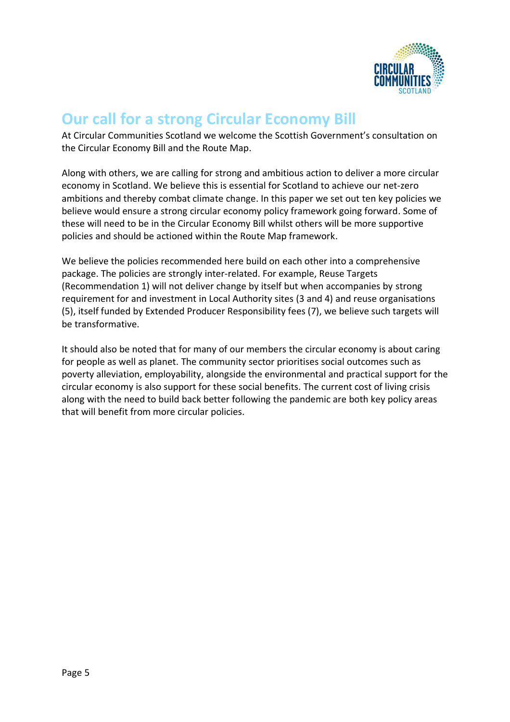

#### <span id="page-4-0"></span>**Our call for a strong Circular Economy Bill**

At Circular Communities Scotland we welcome the Scottish Government's consultation on the Circular Economy Bill and the Route Map.

Along with others, we are calling for strong and ambitious action to deliver a more circular economy in Scotland. We believe this is essential for Scotland to achieve our net-zero ambitions and thereby combat climate change. In this paper we set out ten key policies we believe would ensure a strong circular economy policy framework going forward. Some of these will need to be in the Circular Economy Bill whilst others will be more supportive policies and should be actioned within the Route Map framework.

We believe the policies recommended here build on each other into a comprehensive package. The policies are strongly inter-related. For example, Reuse Targets (Recommendation 1) will not deliver change by itself but when accompanies by strong requirement for and investment in Local Authority sites (3 and 4) and reuse organisations (5), itself funded by Extended Producer Responsibility fees (7), we believe such targets will be transformative.

It should also be noted that for many of our members the circular economy is about caring for people as well as planet. The community sector prioritises social outcomes such as poverty alleviation, employability, alongside the environmental and practical support for the circular economy is also support for these social benefits. The current cost of living crisis along with the need to build back better following the pandemic are both key policy areas that will benefit from more circular policies.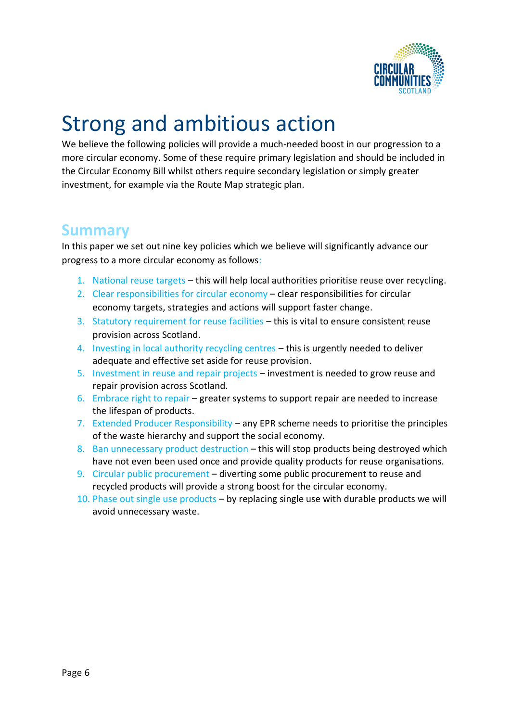

# <span id="page-5-0"></span>Strong and ambitious action

We believe the following policies will provide a much-needed boost in our progression to a more circular economy. Some of these require primary legislation and should be included in the Circular Economy Bill whilst others require secondary legislation or simply greater investment, for example via the Route Map strategic plan.

#### <span id="page-5-1"></span>**Summary**

In this paper we set out nine key policies which we believe will significantly advance our progress to a more circular economy as follows:

- 1. National reuse targets this will help local authorities prioritise reuse over recycling.
- 2. Clear responsibilities for circular economy clear responsibilities for circular economy targets, strategies and actions will support faster change.
- 3. Statutory requirement for reuse facilities this is vital to ensure consistent reuse provision across Scotland.
- 4. Investing in local authority recycling centres this is urgently needed to deliver adequate and effective set aside for reuse provision.
- 5. Investment in reuse and repair projects investment is needed to grow reuse and repair provision across Scotland.
- 6. Embrace right to repair greater systems to support repair are needed to increase the lifespan of products.
- 7. Extended Producer Responsibility any EPR scheme needs to prioritise the principles of the waste hierarchy and support the social economy.
- 8. Ban unnecessary product destruction this will stop products being destroyed which have not even been used once and provide quality products for reuse organisations.
- 9. Circular public procurement diverting some public procurement to reuse and recycled products will provide a strong boost for the circular economy.
- 10. Phase out single use products by replacing single use with durable products we will avoid unnecessary waste.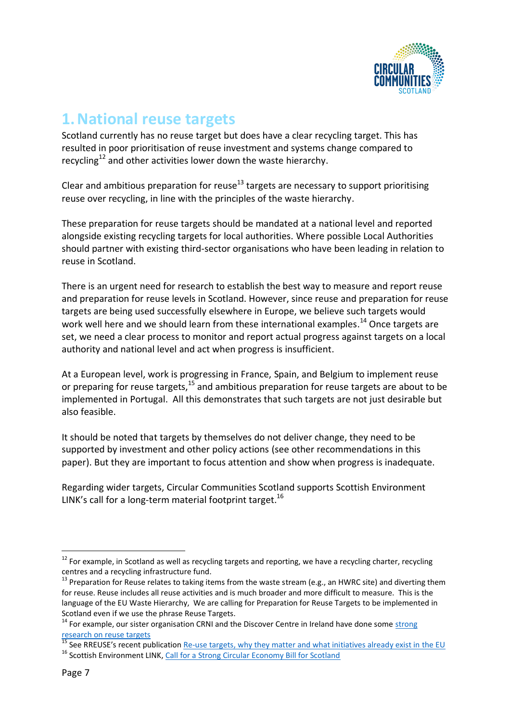

#### <span id="page-6-0"></span>**1.National reuse targets**

Scotland currently has no reuse target but does have a clear recycling target. This has resulted in poor prioritisation of reuse investment and systems change compared to recycling<sup>12</sup> and other activities lower down the waste hierarchy.

Clear and ambitious preparation for reuse<sup>13</sup> targets are necessary to support prioritising reuse over recycling, in line with the principles of the waste hierarchy.

These preparation for reuse targets should be mandated at a national level and reported alongside existing recycling targets for local authorities. Where possible Local Authorities should partner with existing third-sector organisations who have been leading in relation to reuse in Scotland.

There is an urgent need for research to establish the best way to measure and report reuse and preparation for reuse levels in Scotland. However, since reuse and preparation for reuse targets are being used successfully elsewhere in Europe, we believe such targets would work well here and we should learn from these international examples.<sup>14</sup> Once targets are set, we need a clear process to monitor and report actual progress against targets on a local authority and national level and act when progress is insufficient.

At a European level, work is progressing in France, Spain, and Belgium to implement reuse or preparing for reuse targets,<sup>15</sup> and ambitious preparation for reuse targets are about to be implemented in Portugal. All this demonstrates that such targets are not just desirable but also feasible.

It should be noted that targets by themselves do not deliver change, they need to be supported by investment and other policy actions (see other recommendations in this paper). But they are important to focus attention and show when progress is inadequate.

Regarding wider targets, Circular Communities Scotland supports Scottish Environment LINK's call for a long-term material footprint target.<sup>16</sup>

 $12$  For example, in Scotland as well as recycling targets and reporting, we have a recycling charter, recycling centres and a recycling infrastructure fund.

<sup>&</sup>lt;sup>13</sup> Preparation for Reuse relates to taking items from the waste stream (e.g., an HWRC site) and diverting them for reuse. Reuse includes all reuse activities and is much broader and more difficult to measure. This is the language of the EU Waste Hierarchy, We are calling for Preparation for Reuse Targets to be implemented in Scotland even if we use the phrase Reuse Targets.

<sup>&</sup>lt;sup>14</sup> For example, our sister organisation CRNI and the Discover Centre in Ireland have done some strong [research on reuse targets](http://www.rediscoverycentre.ie/research/q2reuse/)

<sup>&</sup>lt;sup>15</sup> See RREUSE's recent publication **Re-use targets, why [they matter and what initiatives already exist in the EU](https://rreuse.org/wp-content/uploads/2022/03/re-use-targets-factsheet.pdf)**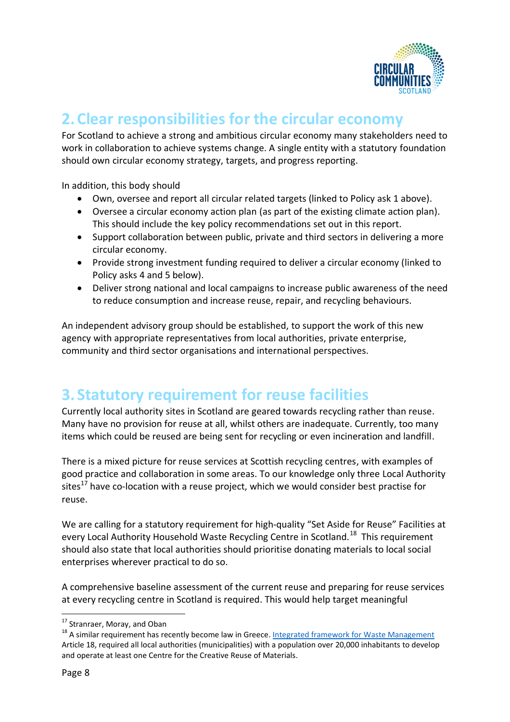

#### <span id="page-7-0"></span>**2.Clear responsibilities for the circular economy**

For Scotland to achieve a strong and ambitious circular economy many stakeholders need to work in collaboration to achieve systems change. A single entity with a statutory foundation should own circular economy strategy, targets, and progress reporting.

In addition, this body should

- Own, oversee and report all circular related targets (linked to Policy ask 1 above).
- Oversee a circular economy action plan (as part of the existing climate action plan). This should include the key policy recommendations set out in this report.
- Support collaboration between public, private and third sectors in delivering a more circular economy.
- Provide strong investment funding required to deliver a circular economy (linked to Policy asks 4 and 5 below).
- Deliver strong national and local campaigns to increase public awareness of the need to reduce consumption and increase reuse, repair, and recycling behaviours.

An independent advisory group should be established, to support the work of this new agency with appropriate representatives from local authorities, private enterprise, community and third sector organisations and international perspectives.

### <span id="page-7-1"></span>**3. Statutory requirement for reuse facilities**

Currently local authority sites in Scotland are geared towards recycling rather than reuse. Many have no provision for reuse at all, whilst others are inadequate. Currently, too many items which could be reused are being sent for recycling or even incineration and landfill.

There is a mixed picture for reuse services at Scottish recycling centres, with examples of good practice and collaboration in some areas. To our knowledge only three Local Authority sites $^{17}$  have co-location with a reuse project, which we would consider best practise for reuse.

We are calling for a statutory requirement for high-quality "Set Aside for Reuse" Facilities at every Local Authority Household Waste Recycling Centre in Scotland.<sup>18</sup> This requirement should also state that local authorities should prioritise donating materials to local social enterprises wherever practical to do so.

A comprehensive baseline assessment of the current reuse and preparing for reuse services at every recycling centre in Scotland is required. This would help target meaningful

<sup>&</sup>lt;sup>17</sup> Stranraer, Moray, and Oban

<sup>&</sup>lt;sup>18</sup> A similar requirement has recently become law in Greece. [Integrated framework for Waste Management](https://www.eoan.gr/ν-4819-2021-α-129/φεκ-α-129_23-07-2021-ν-4819_2021/) Article 18, required all local authorities (municipalities) with a population over 20,000 inhabitants to develop and operate at least one Centre for the Creative Reuse of Materials.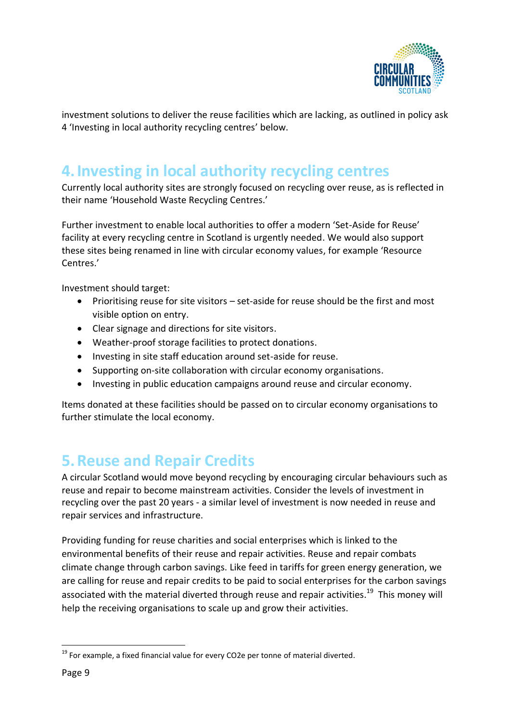

investment solutions to deliver the reuse facilities which are lacking, as outlined in policy ask 4 'Investing in local authority recycling centres' below.

### <span id="page-8-0"></span>**4.Investing in local authority recycling centres**

Currently local authority sites are strongly focused on recycling over reuse, as is reflected in their name 'Household Waste Recycling Centres.'

Further investment to enable local authorities to offer a modern 'Set-Aside for Reuse' facility at every recycling centre in Scotland is urgently needed. We would also support these sites being renamed in line with circular economy values, for example 'Resource Centres.'

Investment should target:

- Prioritising reuse for site visitors set-aside for reuse should be the first and most visible option on entry.
- Clear signage and directions for site visitors.
- Weather-proof storage facilities to protect donations.
- Investing in site staff education around set-aside for reuse.
- Supporting on-site collaboration with circular economy organisations.
- Investing in public education campaigns around reuse and circular economy.

Items donated at these facilities should be passed on to circular economy organisations to further stimulate the local economy.

### <span id="page-8-1"></span>**5.Reuse and Repair Credits**

A circular Scotland would move beyond recycling by encouraging circular behaviours such as reuse and repair to become mainstream activities. Consider the levels of investment in recycling over the past 20 years - a similar level of investment is now needed in reuse and repair services and infrastructure.

Providing funding for reuse charities and social enterprises which is linked to the environmental benefits of their reuse and repair activities. Reuse and repair combats climate change through carbon savings. Like feed in tariffs for green energy generation, we are calling for reuse and repair credits to be paid to social enterprises for the carbon savings associated with the material diverted through reuse and repair activities.<sup>19</sup> This money will help the receiving organisations to scale up and grow their activities.

 $19$  For example, a fixed financial value for every CO2e per tonne of material diverted.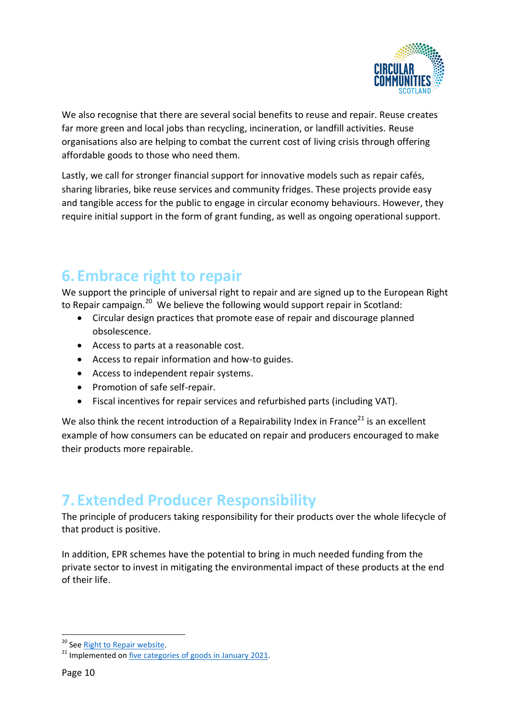

We also recognise that there are several social benefits to reuse and repair. Reuse creates far more green and local jobs than recycling, incineration, or landfill activities. Reuse organisations also are helping to combat the current cost of living crisis through offering affordable goods to those who need them.

Lastly, we call for stronger financial support for innovative models such as repair cafés, sharing libraries, bike reuse services and community fridges. These projects provide easy and tangible access for the public to engage in circular economy behaviours. However, they require initial support in the form of grant funding, as well as ongoing operational support.

#### <span id="page-9-0"></span>**6.Embrace right to repair**

We support the principle of universal right to repair and are signed up to the European Right to Repair campaign.<sup>20</sup> We believe the following would support repair in Scotland:

- Circular design practices that promote ease of repair and discourage planned obsolescence.
- Access to parts at a reasonable cost.
- Access to repair information and how-to guides.
- Access to independent repair systems.
- Promotion of safe self-repair.
- Fiscal incentives for repair services and refurbished parts (including VAT).

We also think the recent introduction of a Repairability Index in France<sup>21</sup> is an excellent example of how consumers can be educated on repair and producers encouraged to make their products more repairable.

## <span id="page-9-1"></span>**7.Extended Producer Responsibility**

The principle of producers taking responsibility for their products over the whole lifecycle of that product is positive.

In addition, EPR schemes have the potential to bring in much needed funding from the private sector to invest in mitigating the environmental impact of these products at the end of their life.

<sup>&</sup>lt;sup>20</sup> Se[e Right to Repair website.](https://repair.eu/)

<sup>&</sup>lt;sup>21</sup> Implemented on five [categories of goods in January 2021.](https://repair.eu/news/the-french-repair-index-challenges-and-opportunities/)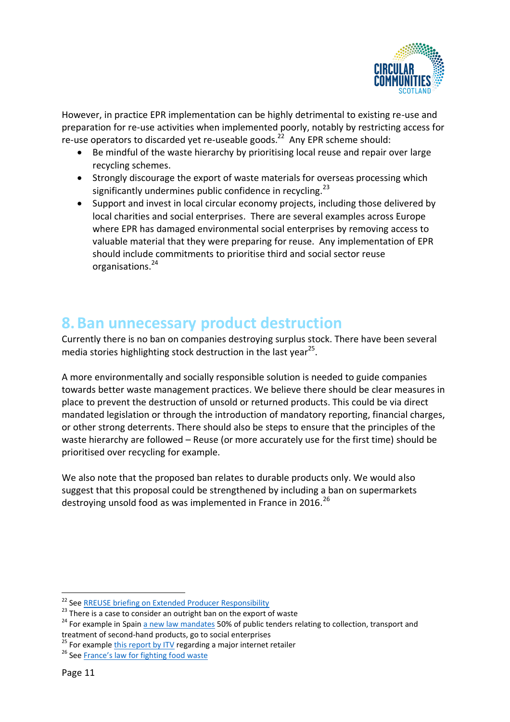

However, in practice EPR implementation can be highly detrimental to existing re-use and preparation for re-use activities when implemented poorly, notably by restricting access for re-use operators to discarded yet re-useable goods.<sup>22</sup> Any EPR scheme should:

- Be mindful of the waste hierarchy by prioritising local reuse and repair over large recycling schemes.
- Strongly discourage the export of waste materials for overseas processing which significantly undermines public confidence in recycling.<sup>23</sup>
- Support and invest in local circular economy projects, including those delivered by local charities and social enterprises. There are several examples across Europe where EPR has damaged environmental social enterprises by removing access to valuable material that they were preparing for reuse. Any implementation of EPR should include commitments to prioritise third and social sector reuse organisations.<sup>24</sup>

### <span id="page-10-0"></span>**8.Ban unnecessary product destruction**

Currently there is no ban on companies destroying surplus stock. There have been several media stories highlighting stock destruction in the last year<sup>25</sup>.

A more environmentally and socially responsible solution is needed to guide companies towards better waste management practices. We believe there should be clear measures in place to prevent the destruction of unsold or returned products. This could be via direct mandated legislation or through the introduction of mandatory reporting, financial charges, or other strong deterrents. There should also be steps to ensure that the principles of the waste hierarchy are followed – Reuse (or more accurately use for the first time) should be prioritised over recycling for example.

We also note that the proposed ban relates to durable products only. We would also suggest that this proposal could be strengthened by including a ban on supermarkets destroving unsold food as was implemented in France in 2016.<sup>26</sup>

<sup>&</sup>lt;sup>22</sup> See RREUSE [briefing on Extended Producer Responsibility](https://rreuse.org/extended-producer-responsibility-and-the-role-of-social-economy-re-use-operators-implementing-a-socially-inclusive-waste-hierarchy/)

 $23$  There is a case to consider an outright ban on the export of waste

<sup>&</sup>lt;sup>24</sup> For example in Spai[n a new law mandates](https://rreuse.org/new-spanish-law-mandates-50-of-tenders-to-social-and-circular-enterprises/) 50% of public tenders relating to collection, transport and treatment of second-hand products, go to social enterprises

<sup>&</sup>lt;sup>25</sup> For example [this report by ITV](https://www.itv.com/news/2021-06-21/amazon-destroying-millions-of-items-of-unsold-stock-in-one-of-its-uk-warehouses-every-year-itv-news-investigation-finds) regarding a major internet retailer

<sup>&</sup>lt;sup>26</sup> See [France's law for fighting food waste](https://zerowasteeurope.eu/library/france-law-for-fighting-food-waste/)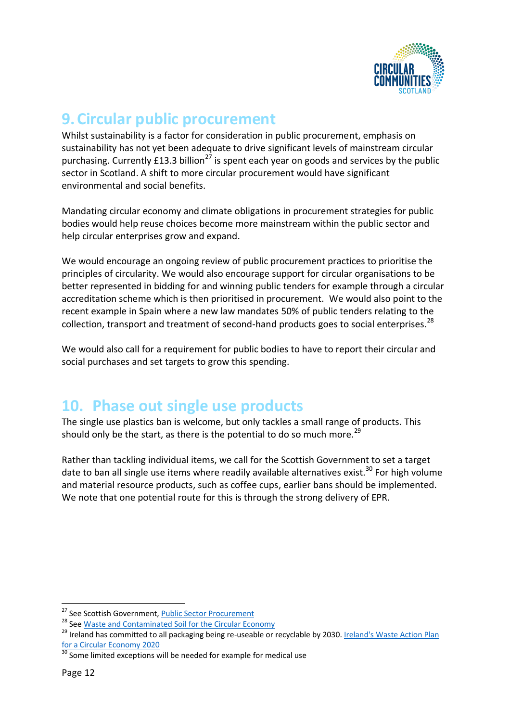

#### <span id="page-11-0"></span>**9.Circular public procurement**

Whilst sustainability is a factor for consideration in public procurement, emphasis on sustainability has not yet been adequate to drive significant levels of mainstream circular purchasing. Currently  $E13.3$  billion<sup>27</sup> is spent each year on goods and services by the public sector in Scotland. A shift to more circular procurement would have significant environmental and social benefits.

Mandating circular economy and climate obligations in procurement strategies for public bodies would help reuse choices become more mainstream within the public sector and help circular enterprises grow and expand.

We would encourage an ongoing review of public procurement practices to prioritise the principles of circularity. We would also encourage support for circular organisations to be better represented in bidding for and winning public tenders for example through a circular accreditation scheme which is then prioritised in procurement. We would also point to the recent example in Spain where a new law mandates 50% of public tenders relating to the collection, transport and treatment of second-hand products goes to social enterprises.<sup>28</sup>

We would also call for a requirement for public bodies to have to report their circular and social purchases and set targets to grow this spending.

#### <span id="page-11-1"></span>**10. Phase out single use products**

The single use plastics ban is welcome, but only tackles a small range of products. This should only be the start, as there is the potential to do so much more.<sup>29</sup>

Rather than tackling individual items, we call for the Scottish Government to set a target date to ban all single use items where readily available alternatives exist.<sup>30</sup> For high volume and material resource products, such as coffee cups, earlier bans should be implemented. We note that one potential route for this is through the strong delivery of EPR.

<sup>&</sup>lt;sup>27</sup> See Scottish Government, [Public Sector Procurement](https://www.gov.scot/policies/public-sector-procurement/)

<sup>&</sup>lt;sup>28</sup> Se[e Waste and Contaminated Soil for the Circular Economy](https://rreuse.org/new-spanish-law-mandates-50-of-tenders-to-social-and-circular-enterprises/)

<sup>&</sup>lt;sup>29</sup> Ireland has committed to all packaging being re-useable or recyclable by 2030. Ireland's Waste Action Plan [for a Circular Economy 2020](https://www.gov.ie/en/publication/4221c-waste-action-plan-for-a-circular-economy/)

<sup>&</sup>lt;sup>30</sup> Some limited exceptions will be needed for example for medical use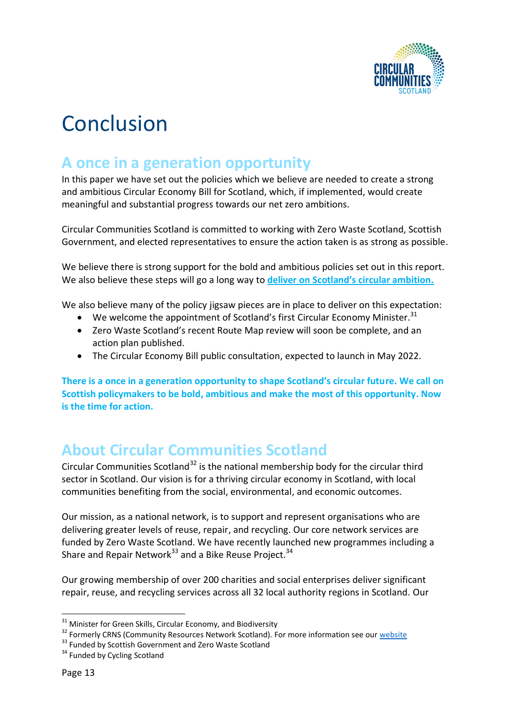

# <span id="page-12-0"></span>**Conclusion**

### <span id="page-12-1"></span>**A once in a generation opportunity**

In this paper we have set out the policies which we believe are needed to create a strong and ambitious Circular Economy Bill for Scotland, which, if implemented, would create meaningful and substantial progress towards our net zero ambitions.

Circular Communities Scotland is committed to working with Zero Waste Scotland, Scottish Government, and elected representatives to ensure the action taken is as strong as possible.

We believe there is strong support for the bold and ambitious policies set out in this report. We also believe these steps will go a long way to **deliver on Scotland's circular ambition.** 

We also believe many of the policy jigsaw pieces are in place to deliver on this expectation:

- We welcome the appointment of Scotland's first Circular Economy Minister.<sup>31</sup>
- Zero Waste Scotland's recent Route Map review will soon be complete, and an action plan published.
- The Circular Economy Bill public consultation, expected to launch in May 2022.

**There is a once in a generation opportunity to shape Scotland's circular future. We call on Scottish policymakers to be bold, ambitious and make the most of this opportunity. Now is the time for action.** 

#### <span id="page-12-2"></span>**About Circular Communities Scotland**

Circular Communities Scotland<sup>32</sup> is the national membership body for the circular third sector in Scotland. Our vision is for a thriving circular economy in Scotland, with local communities benefiting from the social, environmental, and economic outcomes.

Our mission, as a national network, is to support and represent organisations who are delivering greater levels of reuse, repair, and recycling. Our core network services are funded by Zero Waste Scotland. We have recently launched new programmes including a Share and Repair Network<sup>33</sup> and a Bike Reuse Project.<sup>34</sup>

Our growing membership of over 200 charities and social enterprises deliver significant repair, reuse, and recycling services across all 32 local authority regions in Scotland. Our

 $31$  Minister for Green Skills, Circular Economy, and Biodiversity

<sup>&</sup>lt;sup>32</sup> Formerly CRNS (Community Resources Network Scotland). For more information see our [website](https://www.circularcommunities.scot/about-us/)

<sup>&</sup>lt;sup>33</sup> Funded by Scottish Government and Zero Waste Scotland

<sup>&</sup>lt;sup>34</sup> Funded by Cycling Scotland